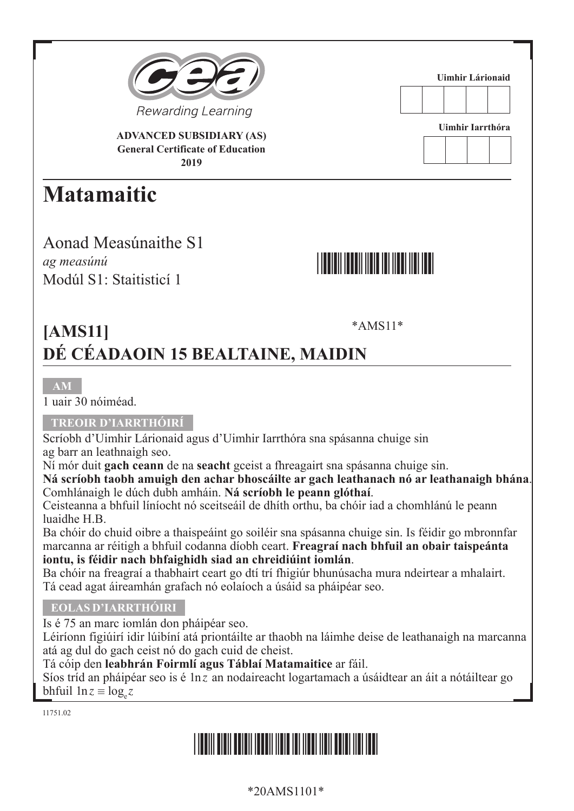

**ADVANCED SUBSIDIARY (AS) General Certificate of Education 2019**

## **Matamaitic**

Aonad Measúnaithe S1 *ag measúnú* Modúl S1: Staitisticí 1



**Uimhir Lárionaid**

**Uimhir Iarrthóra**

## \*AMS11\* **[AMS11] DÉ CÉADAOIN 15 BEALTAINE, MAIDIN**

1 uair 30 nóiméad.

### **TREOIR D'IARRTHÓIRÍ**

Scríobh d'Uimhir Lárionaid agus d'Uimhir Iarrthóra sna spásanna chuige sin ag barr an leathnaigh seo.

Ní mór duit **gach ceann** de na **seacht** gceist a fhreagairt sna spásanna chuige sin.

**Ná scríobh taobh amuigh den achar bhoscáilte ar gach leathanach nó ar leathanaigh bhána**. Comhlánaigh le dúch dubh amháin. **Ná scríobh le peann glóthaí**.

Ceisteanna a bhfuil líníocht nó sceitseáil de dhíth orthu, ba chóir iad a chomhlánú le peann luaidhe H.B.

Ba chóir do chuid oibre a thaispeáint go soiléir sna spásanna chuige sin. Is féidir go mbronnfar marcanna ar réitigh a bhfuil codanna díobh ceart. **Freagraí nach bhfuil an obair taispeánta iontu, is féidir nach bhfaighidh siad an chreidiúint iomlán**.

Ba chóir na freagraí a thabhairt ceart go dtí trí fhigiúr bhunúsacha mura ndeirtear a mhalairt. Tá cead agat áireamhán grafach nó eolaíoch a úsáid sa pháipéar seo.

### **EOLAS D'IARRTHÓIRI**

Is é 75 an marc iomlán don pháipéar seo.

Léiríonn figiúirí idir lúibíní atá priontáilte ar thaobh na láimhe deise de leathanaigh na marcanna atá ag dul do gach ceist nó do gach cuid de cheist.

### Tá cóip den **leabhrán Foirmlí agus Táblaí Matamaitice** ar fáil.

Síos tríd an pháipéar seo is é 1n*z* an nodaireacht logartamach a úsáidtear an áit a nótáiltear go bhfuil  $ln z \equiv log_z z$ 

11751.02

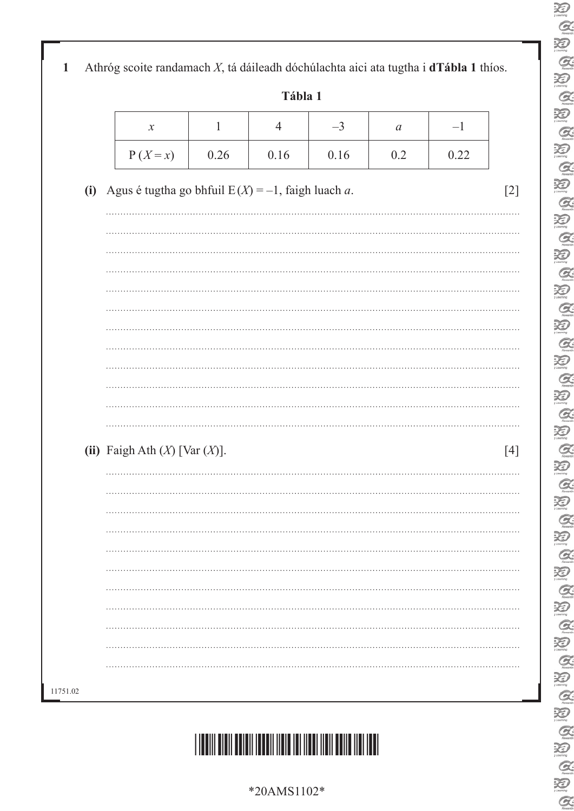E<br>C  $\sum_{\text{learning}}$  $\alpha$ 泪  $\alpha$  $\sum_{i \text{ boundary}}$  $\mathcal{Q}$ E  $\sum_{\text{theory}}$  $Q$  $\sum_{n=1}^{\infty}$  $\mathcal{Q}$  $\sum_{\text{learning}}$  $\mathcal{Q}$  $\sum_{\text{learning}}$  $\mathcal{Q}$  $\sum_{\text{boundary}}$  $\mathcal{Q}$ 泡  $\mathcal{Q}$  $\sum_{\text{learning}}$  $Q$  $\sum_{\text{learning}}$  $\alpha$  $\sum_{\text{learning}}$  $\mathcal{Q}$  $\sum_{\text{learning}}$  $Q$  $\sum_{i \text{ boundary}}$  $\mathcal{Q}$  $\sum_{\text{learning}}$  $\mathcal{Q}$  $\sum_{y \in \text{carry}}$  $\frac{\alpha}{\beta}$ **BABB** E<br>E  $\frac{\alpha}{\beta}$  $\alpha$ 

|  | Athróg scoite randamach $X$ , tá dáileadh dóchúlachta aici ata tugtha i <b>dTábla 1</b> thíos. |  |  |  |  |
|--|------------------------------------------------------------------------------------------------|--|--|--|--|
|--|------------------------------------------------------------------------------------------------|--|--|--|--|

**Tábla 1**

| $\boldsymbol{\mathcal{N}}$ |      |      | - ۱  | и   |      |
|----------------------------|------|------|------|-----|------|
| $P(X=x)$                   | 0.26 | 0.16 | 0.16 | 0.2 | 1.22 |

**(i)** Agus é tugtha go bhfuil  $E(X) = -1$ , faigh luach *a*. [2]

| $\ddotsc$                                                                                                                                                                                                                                                                                                            |
|----------------------------------------------------------------------------------------------------------------------------------------------------------------------------------------------------------------------------------------------------------------------------------------------------------------------|
|                                                                                                                                                                                                                                                                                                                      |
|                                                                                                                                                                                                                                                                                                                      |
|                                                                                                                                                                                                                                                                                                                      |
|                                                                                                                                                                                                                                                                                                                      |
|                                                                                                                                                                                                                                                                                                                      |
|                                                                                                                                                                                                                                                                                                                      |
|                                                                                                                                                                                                                                                                                                                      |
|                                                                                                                                                                                                                                                                                                                      |
|                                                                                                                                                                                                                                                                                                                      |
|                                                                                                                                                                                                                                                                                                                      |
| (ii) Faigh Ath $(X)$ [Var $(X)$ ].<br>$[4] \centering% \includegraphics[width=1.0\textwidth]{images/TransY.pdf} \caption{The first two different values of $y$ and $y$ (left) and $y$ (right) are the same as a function of $y$. The first two different values of $y$ (right) and $y$ (right). } \label{fig:class}$ |
| .                                                                                                                                                                                                                                                                                                                    |
|                                                                                                                                                                                                                                                                                                                      |
|                                                                                                                                                                                                                                                                                                                      |
|                                                                                                                                                                                                                                                                                                                      |
|                                                                                                                                                                                                                                                                                                                      |
|                                                                                                                                                                                                                                                                                                                      |
|                                                                                                                                                                                                                                                                                                                      |
|                                                                                                                                                                                                                                                                                                                      |
| .                                                                                                                                                                                                                                                                                                                    |
|                                                                                                                                                                                                                                                                                                                      |
|                                                                                                                                                                                                                                                                                                                      |



\*20AMS1102\*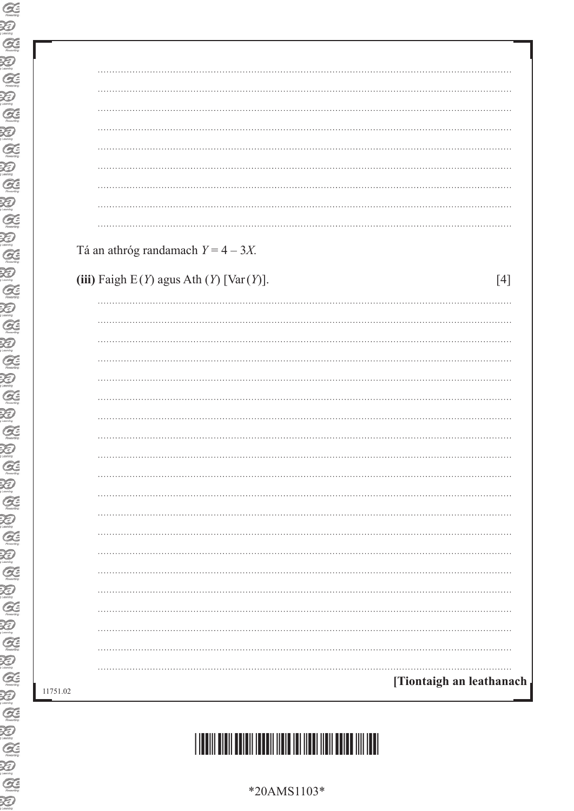| Tá an athróg randamach $Y = 4 - 3X$ .                    |
|----------------------------------------------------------|
|                                                          |
| (iii) Faigh $E(Y)$ agus Ath $(Y)$ [Var $(Y)$ ].<br>$[4]$ |
|                                                          |
|                                                          |
|                                                          |
|                                                          |
|                                                          |
|                                                          |
|                                                          |
|                                                          |
|                                                          |
|                                                          |
|                                                          |
|                                                          |
|                                                          |
|                                                          |
|                                                          |
|                                                          |
|                                                          |
|                                                          |
|                                                          |
|                                                          |
|                                                          |

 $\overline{\phantom{a}}$ 



\*20AMS1103\*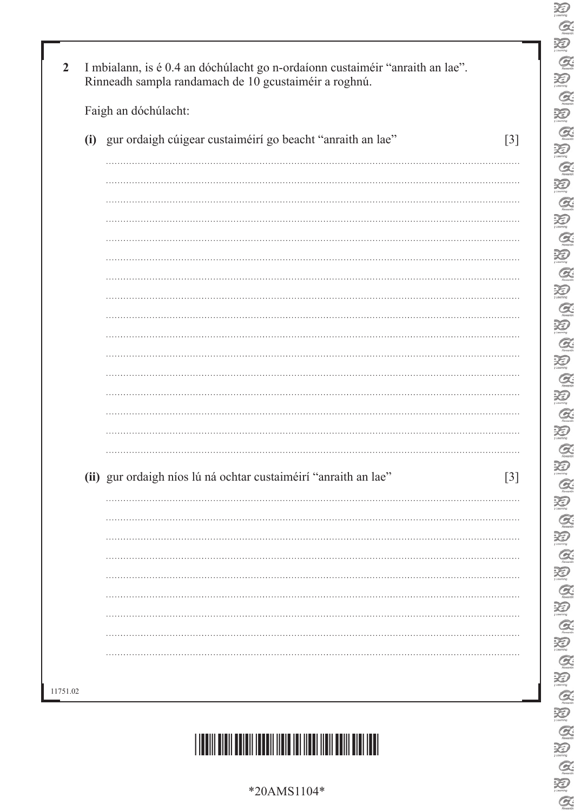| (i) gur ordaigh cúigear custaiméirí go beacht "anraith an lae"  |
|-----------------------------------------------------------------|
|                                                                 |
|                                                                 |
|                                                                 |
|                                                                 |
|                                                                 |
|                                                                 |
|                                                                 |
|                                                                 |
|                                                                 |
|                                                                 |
|                                                                 |
|                                                                 |
|                                                                 |
|                                                                 |
|                                                                 |
|                                                                 |
|                                                                 |
|                                                                 |
| (ii) gur ordaigh níos lú ná ochtar custaiméirí "anraith an lae" |
|                                                                 |
|                                                                 |
|                                                                 |
|                                                                 |
|                                                                 |
|                                                                 |
|                                                                 |
|                                                                 |
|                                                                 |

 $\sum_{\text{learning}}$  $Q$ 

U Q U Q N

 $\alpha$ 

 $\overline{\mathcal{L}}$ 

 $\sum_{\text{theory}}$ 

 $\alpha$  $\sum_{\text{mean}}$  $\alpha$ 

UQ UB Q UB

 $\alpha$ 

E

 $\sum_{\text{max} }$  $\alpha$  $\sum_{\text{learning}}^{\text{Normal}}$  $\mathcal{Q}$  $\sum_{\text{learning}}$  $\alpha$  $\sum_{\text{learning}}$ 

E<br>E

 $\frac{1}{2}$ 

E<br>E

E<br>E

E<br>E

E<br>E

 $\alpha$ 

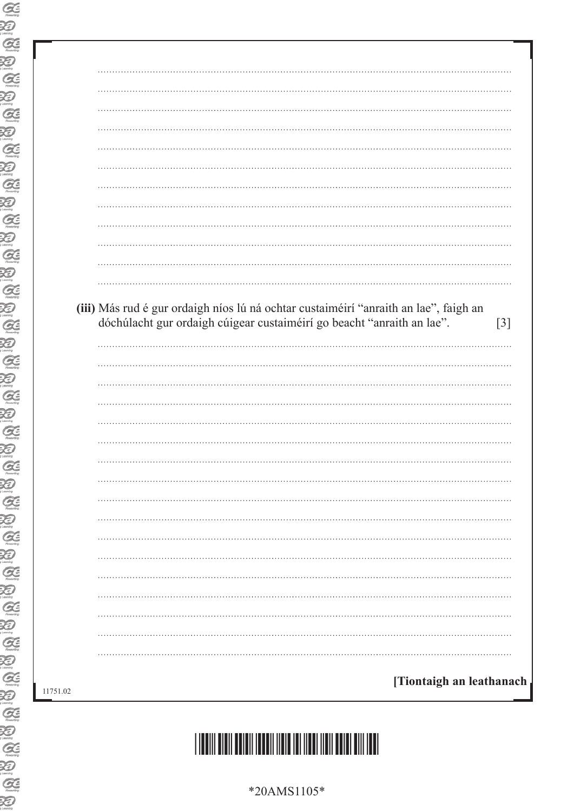|  | $[3]$                                                                                                                                                          |
|--|----------------------------------------------------------------------------------------------------------------------------------------------------------------|
|  |                                                                                                                                                                |
|  |                                                                                                                                                                |
|  |                                                                                                                                                                |
|  |                                                                                                                                                                |
|  |                                                                                                                                                                |
|  |                                                                                                                                                                |
|  |                                                                                                                                                                |
|  |                                                                                                                                                                |
|  |                                                                                                                                                                |
|  |                                                                                                                                                                |
|  | (iii) Más rud é gur ordaigh níos lú ná ochtar custaiméirí "anraith an lae", faigh an<br>dóchúlacht gur ordaigh cúigear custaiméirí go beacht "anraith an lae". |

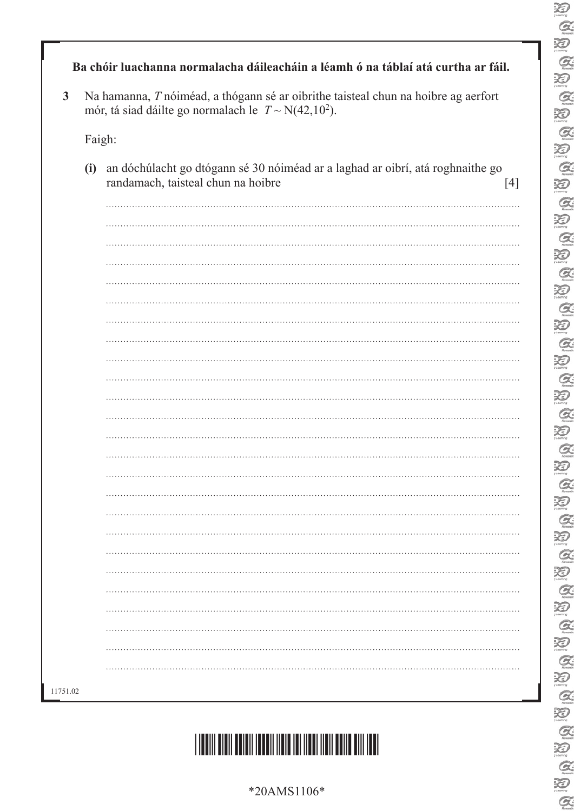| $*20AMS1106*$ |  |
|---------------|--|
|---------------|--|



|        | Na hamanna, T nóiméad, a thógann sé ar oibrithe taisteal chun na hoibre ag aerfort<br>mór, tá siad dáilte go normalach le $T \sim N(42, 10^2)$ . |
|--------|--------------------------------------------------------------------------------------------------------------------------------------------------|
| Faigh: |                                                                                                                                                  |
| (i)    | an dóchúlacht go dtógann sé 30 nóiméad ar a laghad ar oibrí, atá roghnaithe go<br>randamach, taisteal chun na hoibre<br>$[4]$                    |
|        |                                                                                                                                                  |
|        |                                                                                                                                                  |
|        |                                                                                                                                                  |
|        |                                                                                                                                                  |
|        |                                                                                                                                                  |
|        |                                                                                                                                                  |
|        |                                                                                                                                                  |
|        |                                                                                                                                                  |
|        |                                                                                                                                                  |
|        |                                                                                                                                                  |
|        |                                                                                                                                                  |
|        |                                                                                                                                                  |
|        |                                                                                                                                                  |
|        |                                                                                                                                                  |
|        |                                                                                                                                                  |
|        |                                                                                                                                                  |
|        |                                                                                                                                                  |
|        |                                                                                                                                                  |
|        |                                                                                                                                                  |
|        |                                                                                                                                                  |
|        |                                                                                                                                                  |
|        |                                                                                                                                                  |
|        |                                                                                                                                                  |
|        |                                                                                                                                                  |
|        |                                                                                                                                                  |
|        |                                                                                                                                                  |

 $\sum_{\text{learning}}$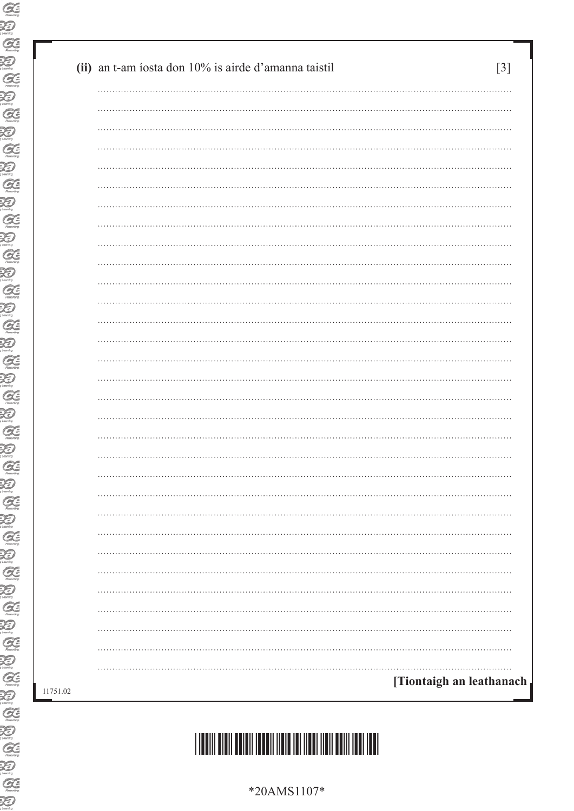|  | [Tiontaigh an leathanach |
|--|--------------------------|
|  |                          |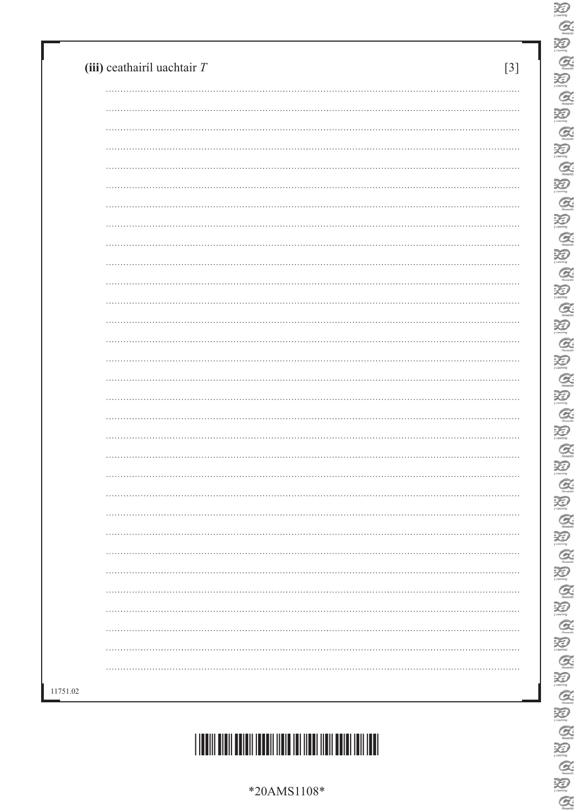\*20AMS1108\*



| . |
|---|
|   |
|   |
|   |
|   |
|   |
|   |
|   |
|   |
|   |
|   |
|   |
|   |
|   |

 $\sum_{i \text{temp}}$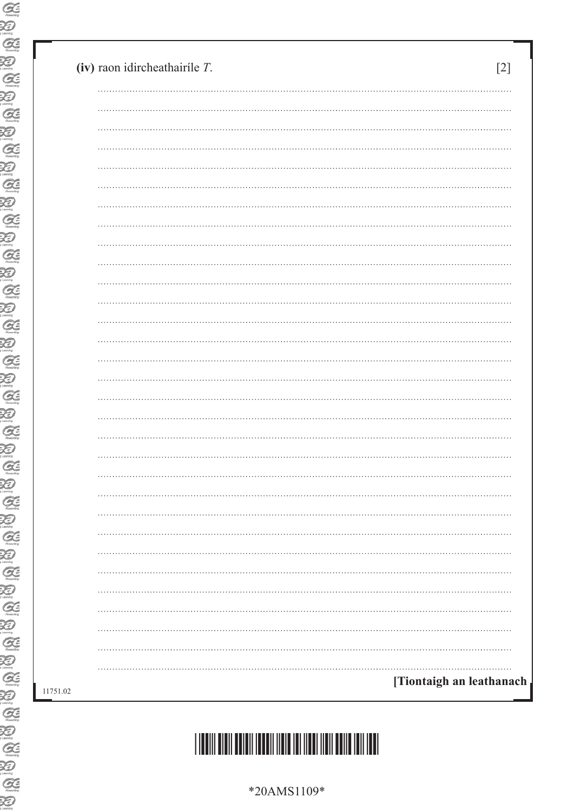| <br>. <b>.</b><br>[Tiontaigh an leathanach | (iv) raon idircheathairíle $T$ . |  |  |
|--------------------------------------------|----------------------------------|--|--|
|                                            |                                  |  |  |
|                                            |                                  |  |  |
|                                            |                                  |  |  |
|                                            |                                  |  |  |
|                                            |                                  |  |  |
|                                            |                                  |  |  |
|                                            |                                  |  |  |
|                                            |                                  |  |  |
|                                            |                                  |  |  |
|                                            |                                  |  |  |
|                                            |                                  |  |  |
|                                            |                                  |  |  |
|                                            |                                  |  |  |
|                                            |                                  |  |  |
|                                            |                                  |  |  |
|                                            |                                  |  |  |
|                                            |                                  |  |  |
|                                            |                                  |  |  |
|                                            |                                  |  |  |
|                                            |                                  |  |  |
|                                            |                                  |  |  |
|                                            |                                  |  |  |
|                                            |                                  |  |  |
|                                            |                                  |  |  |
|                                            |                                  |  |  |
|                                            |                                  |  |  |
|                                            |                                  |  |  |
|                                            |                                  |  |  |
|                                            |                                  |  |  |
|                                            |                                  |  |  |



\*40AMS1109\*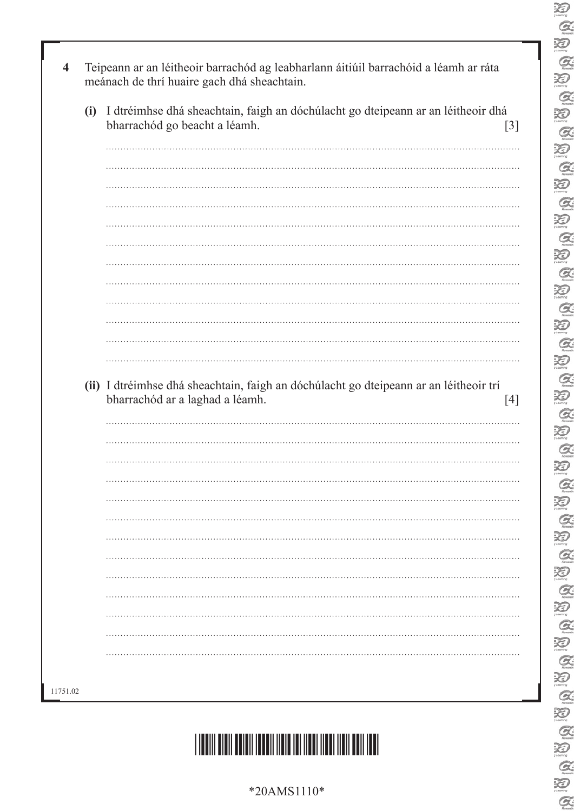| Teipeann ar an léitheoir barrachód ag leabharlann áitiúil barrachóid a léamh ar ráta<br>$\overline{\mathbf{4}}$<br>meánach de thrí huaire gach dhá sheachtain. |  |
|----------------------------------------------------------------------------------------------------------------------------------------------------------------|--|
| I dtréimhse dhá sheachtain, faigh an dóchúlacht go dteipeann ar an léitheoir dhá<br>(i)<br>bharrachód go beacht a léamh.<br>$[3]$                              |  |
|                                                                                                                                                                |  |
|                                                                                                                                                                |  |
|                                                                                                                                                                |  |
|                                                                                                                                                                |  |
|                                                                                                                                                                |  |
|                                                                                                                                                                |  |
|                                                                                                                                                                |  |
|                                                                                                                                                                |  |
| (ii) I dtréimhse dhá sheachtain, faigh an dóchúlacht go dteipeann ar an léitheoir trí<br>bharrachód ar a laghad a léamh.<br>$[4]$                              |  |
|                                                                                                                                                                |  |
|                                                                                                                                                                |  |
|                                                                                                                                                                |  |
|                                                                                                                                                                |  |
|                                                                                                                                                                |  |
|                                                                                                                                                                |  |
|                                                                                                                                                                |  |
|                                                                                                                                                                |  |
|                                                                                                                                                                |  |
|                                                                                                                                                                |  |
| 11751.02                                                                                                                                                       |  |



\*20AMS1110\*

 $\alpha$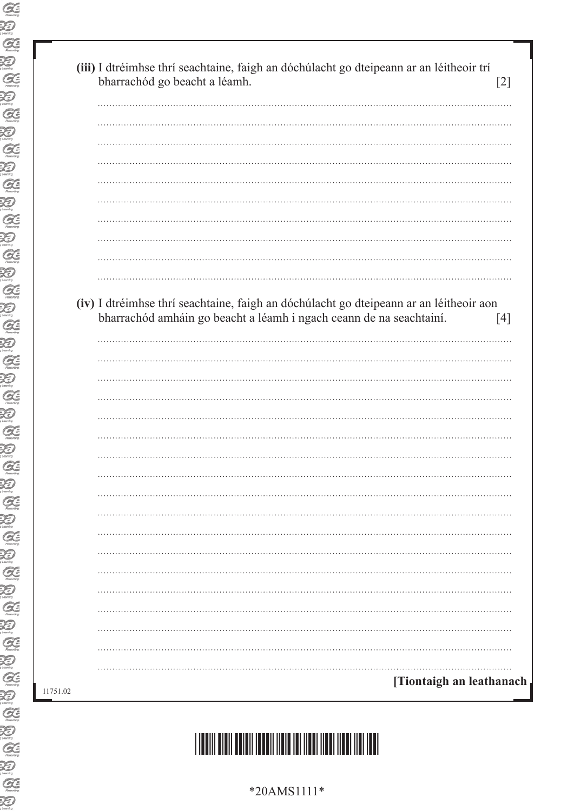| (iv) I dtréimhse thrí seachtaine, faigh an dóchúlacht go dteipeann ar an léitheoir aon<br>bharrachód amháin go beacht a léamh i ngach ceann de na seachtainí. | [4] |
|---------------------------------------------------------------------------------------------------------------------------------------------------------------|-----|
|                                                                                                                                                               |     |
|                                                                                                                                                               |     |
|                                                                                                                                                               |     |
|                                                                                                                                                               |     |
|                                                                                                                                                               |     |
|                                                                                                                                                               |     |
|                                                                                                                                                               |     |
|                                                                                                                                                               |     |
|                                                                                                                                                               |     |
|                                                                                                                                                               |     |
|                                                                                                                                                               |     |
|                                                                                                                                                               |     |
|                                                                                                                                                               |     |
|                                                                                                                                                               |     |
|                                                                                                                                                               |     |
|                                                                                                                                                               |     |
|                                                                                                                                                               |     |
|                                                                                                                                                               |     |
|                                                                                                                                                               |     |

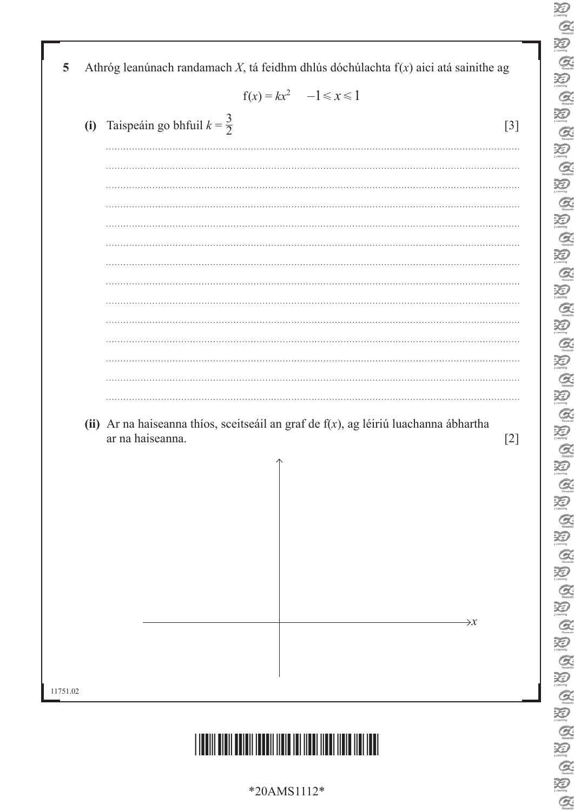|  | $f(x) = kx^2 \quad -1 \le x \le 1$                                                      |                 |
|--|-----------------------------------------------------------------------------------------|-----------------|
|  | (i) Taispeáin go bhfuil $k = \frac{3}{2}$                                               | $[3]$           |
|  |                                                                                         |                 |
|  |                                                                                         |                 |
|  |                                                                                         |                 |
|  |                                                                                         |                 |
|  |                                                                                         |                 |
|  |                                                                                         |                 |
|  |                                                                                         |                 |
|  |                                                                                         |                 |
|  |                                                                                         |                 |
|  |                                                                                         |                 |
|  |                                                                                         |                 |
|  | (ii) Ar na haiseanna thíos, sceitseáil an graf de $f(x)$ , ag léiriú luachanna ábhartha |                 |
|  | ar na haiseanna.                                                                        | $[2]$           |
|  | $\uparrow$                                                                              |                 |
|  |                                                                                         |                 |
|  |                                                                                         |                 |
|  |                                                                                         |                 |
|  |                                                                                         |                 |
|  |                                                                                         |                 |
|  |                                                                                         | $\rightarrow x$ |
|  |                                                                                         |                 |
|  |                                                                                         |                 |

 $\sum_{i \text{ learning}}$  $\alpha$  $\overline{\mathbf{X}}$ 

 $\alpha$ 

20

 $\sum_{\text{theory}}$  $\alpha$  $\sum_{\text{domain}}$  $\mathcal{Q}$  $\sum_{n=1}^{\infty}$  $\alpha$  $\sum_{i \text{ terms}}$  $\mathcal{Q}$  $\sum_{i \text{ learning}}$  $\alpha$  $\sum_{n=1}^{\infty}$  $\mathcal{C}$  $\sum_{n=1}^{\infty}$  $\alpha$  $\sum_{\text{learning}}$  $\mathcal{Q}$  $\sum_{\text{meaning}}$  $\alpha$  $\overline{\mathcal{Z}}$  $\alpha$  $\sum_{\text{learning}}$  $\alpha$  $\overline{\mathbf{X}}$  $\mathcal{Q}$  $\sum_{n=1}^{\infty}$  $\mathcal{Q}$  $\sum_{i \text{ convex}}$ 

B A U A

 $\alpha$ 

 $\sum_{\gamma \text{Learning}}$ 

E<br>E

 $\alpha$ 

\*20AMS1112\*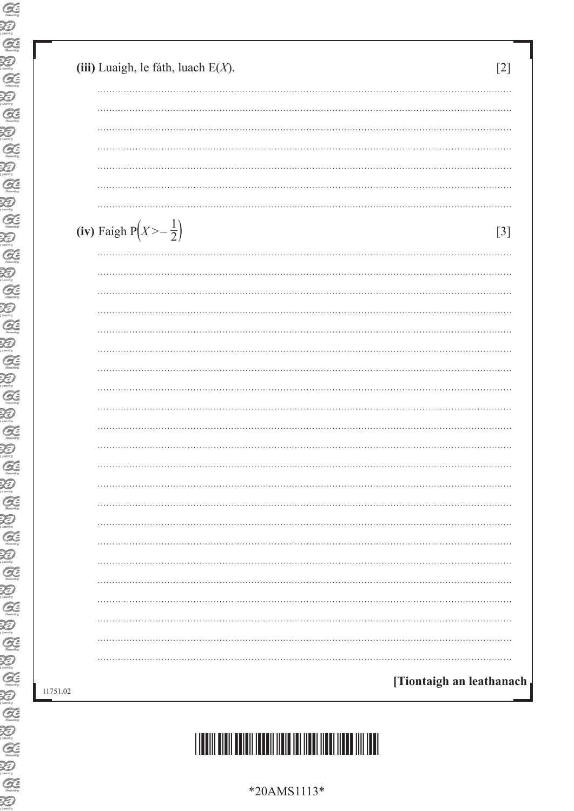| (iii) Luaigh, le fáth, luach $E(X)$ . | [2]                      |
|---------------------------------------|--------------------------|
|                                       |                          |
|                                       |                          |
|                                       |                          |
|                                       |                          |
|                                       |                          |
|                                       |                          |
| (iv) Faigh $P(X > -\frac{1}{2})$      | $[3]$                    |
|                                       |                          |
|                                       |                          |
|                                       |                          |
|                                       |                          |
|                                       |                          |
|                                       |                          |
|                                       |                          |
|                                       |                          |
|                                       |                          |
|                                       |                          |
|                                       |                          |
|                                       |                          |
|                                       |                          |
|                                       |                          |
|                                       |                          |
|                                       |                          |
|                                       |                          |
|                                       |                          |
|                                       |                          |
|                                       |                          |
|                                       |                          |
|                                       | [Tiontaigh an leathanach |

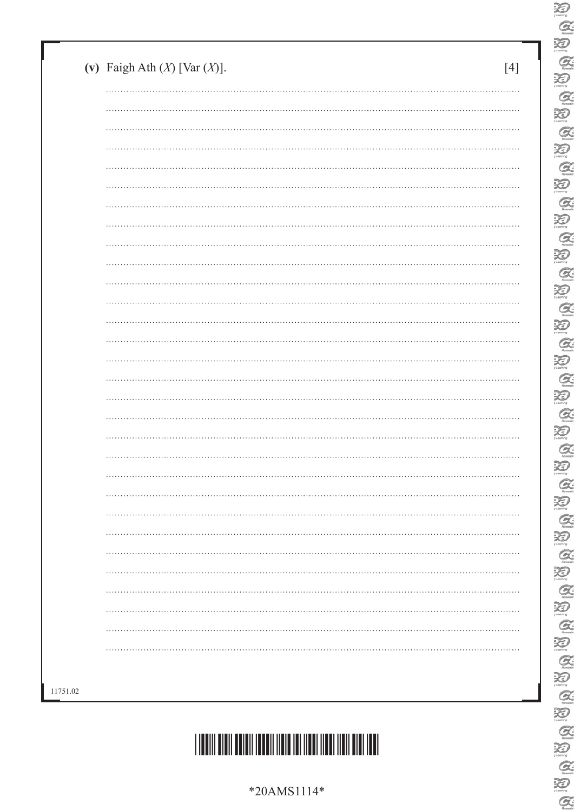| $*20AMS1114*$ |
|---------------|
|---------------|



| $\cdots$ |  |
|----------|--|
|          |  |
|          |  |
|          |  |
| .        |  |
|          |  |
|          |  |
|          |  |
|          |  |
|          |  |
|          |  |
|          |  |
|          |  |
|          |  |
|          |  |
|          |  |
|          |  |
|          |  |
|          |  |
|          |  |
|          |  |
|          |  |
|          |  |
|          |  |
|          |  |
|          |  |
|          |  |
|          |  |
|          |  |
|          |  |

 $\sum_{\text{learning}}$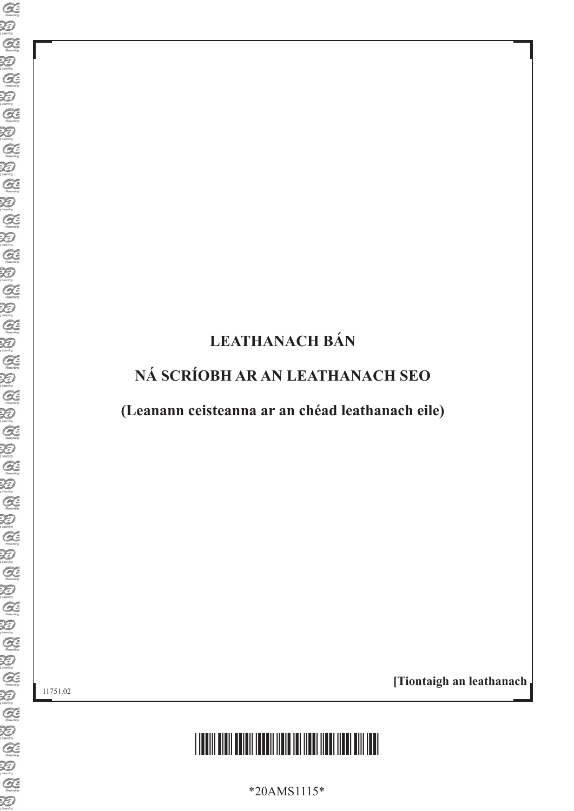## **LEATHANACH BÁN**

## **NÁ SCRÍOBH AR AN LEATHANACH SEO**

**(Leanann ceisteanna ar an chéad leathanach eile)**

11751.02

**[Tiontaigh an leathanach**



\*20AMS1115\*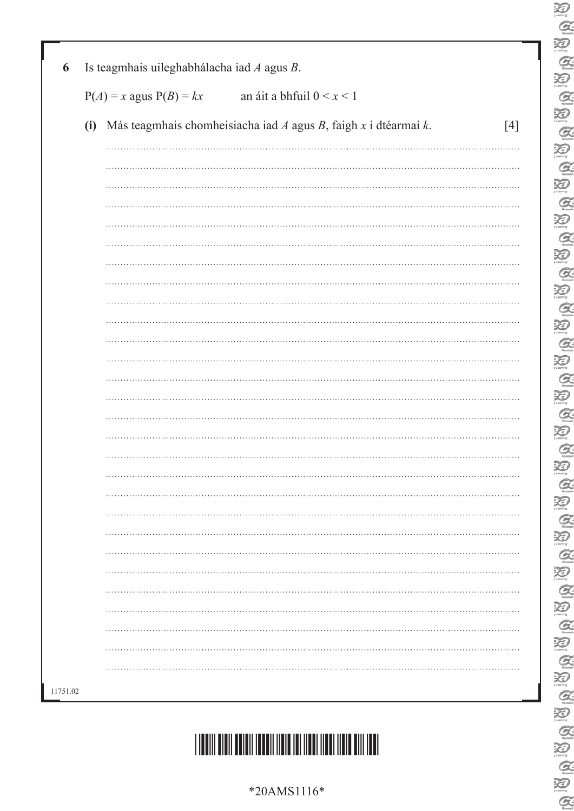|          | $P(A) = x$ agus $P(B) = kx$<br>an áit a bhfuil $0 < x < 1$                    |       |  |  |  |  |  |
|----------|-------------------------------------------------------------------------------|-------|--|--|--|--|--|
|          | (i) Más teagmhais chomheisiacha iad $A$ agus $B$ , faigh $x$ i dtéarmaí $k$ . | $[4]$ |  |  |  |  |  |
|          |                                                                               |       |  |  |  |  |  |
|          |                                                                               |       |  |  |  |  |  |
|          |                                                                               |       |  |  |  |  |  |
|          |                                                                               |       |  |  |  |  |  |
|          |                                                                               |       |  |  |  |  |  |
|          |                                                                               |       |  |  |  |  |  |
|          |                                                                               |       |  |  |  |  |  |
|          |                                                                               |       |  |  |  |  |  |
|          |                                                                               |       |  |  |  |  |  |
|          |                                                                               |       |  |  |  |  |  |
|          |                                                                               |       |  |  |  |  |  |
|          |                                                                               |       |  |  |  |  |  |
|          |                                                                               |       |  |  |  |  |  |
|          |                                                                               |       |  |  |  |  |  |
|          |                                                                               |       |  |  |  |  |  |
|          |                                                                               |       |  |  |  |  |  |
|          |                                                                               |       |  |  |  |  |  |
|          |                                                                               |       |  |  |  |  |  |
|          |                                                                               |       |  |  |  |  |  |
|          |                                                                               |       |  |  |  |  |  |
|          |                                                                               |       |  |  |  |  |  |
|          |                                                                               |       |  |  |  |  |  |
|          |                                                                               |       |  |  |  |  |  |
|          |                                                                               |       |  |  |  |  |  |
| 11751.02 |                                                                               |       |  |  |  |  |  |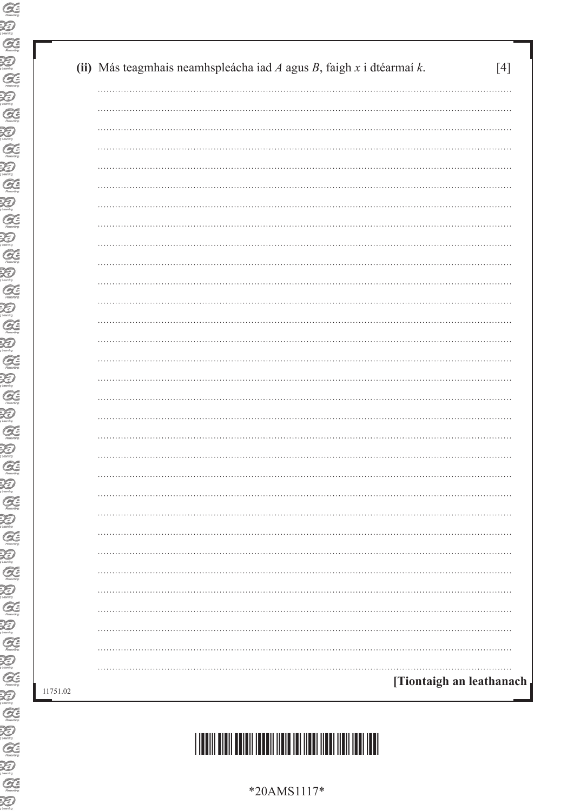| (ii) Más teagmhais neamhspleácha iad $A$ agus $B$ , faigh $x$ i dtéarmaí $k$ .<br> |
|------------------------------------------------------------------------------------|
|                                                                                    |
|                                                                                    |
|                                                                                    |
|                                                                                    |
|                                                                                    |
|                                                                                    |
|                                                                                    |
|                                                                                    |
|                                                                                    |
|                                                                                    |
|                                                                                    |
|                                                                                    |
|                                                                                    |
|                                                                                    |
|                                                                                    |
|                                                                                    |
|                                                                                    |
|                                                                                    |
|                                                                                    |
|                                                                                    |
|                                                                                    |
|                                                                                    |
|                                                                                    |
|                                                                                    |
|                                                                                    |
|                                                                                    |
|                                                                                    |
|                                                                                    |
|                                                                                    |
|                                                                                    |
|                                                                                    |
|                                                                                    |

# \*40AMS1117\*

\*20AMS1117\*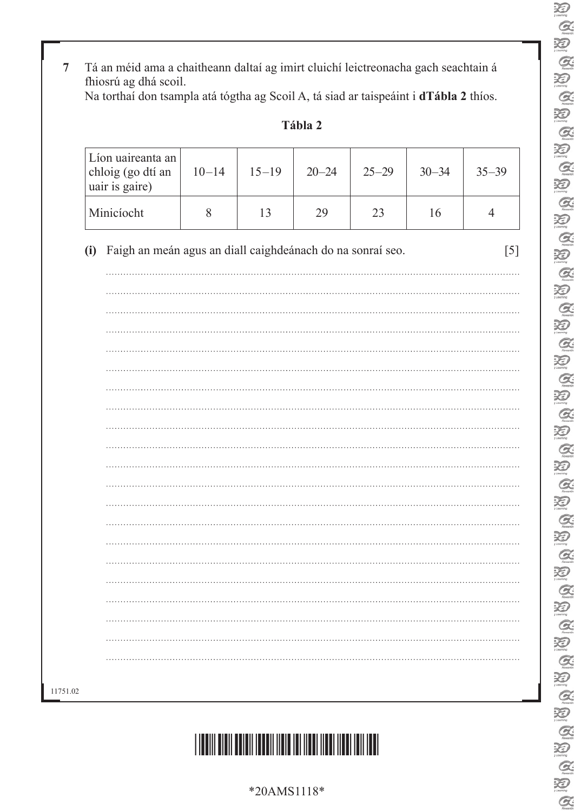**7** Tá an méid ama a chaitheann daltaí ag imirt cluichí leictreonacha gach seachtain á fhiosrú ag dhá scoil. Na torthaí don tsampla atá tógtha ag Scoil A, tá siad ar taispeáint i **dTábla 2** thíos.

| abia |  |
|------|--|
|------|--|

| Líon uaireanta an<br>chloig (go dtí an<br>uair is gaire) |                                                            | $10 - 14$ | $15 - 19$ | $20 - 24$ | $25 - 29$ | $30 - 34$ | $35 - 39$      |
|----------------------------------------------------------|------------------------------------------------------------|-----------|-----------|-----------|-----------|-----------|----------------|
| Minicíocht                                               |                                                            | $8\,$     | 13        | 29        | 23        | 16        | $\overline{4}$ |
| (i)                                                      | Faigh an meán agus an diall caighdeánach do na sonraí seo. |           |           |           |           |           |                |
|                                                          |                                                            |           |           |           |           |           |                |
|                                                          |                                                            |           |           |           |           |           |                |
|                                                          |                                                            |           |           |           |           |           |                |
|                                                          |                                                            |           |           |           |           |           |                |
|                                                          |                                                            |           |           |           |           |           |                |
|                                                          |                                                            |           |           |           |           |           |                |
|                                                          |                                                            |           |           |           |           |           |                |
|                                                          |                                                            |           |           |           |           |           |                |
|                                                          |                                                            |           |           |           |           |           |                |
|                                                          |                                                            |           |           |           |           |           |                |
|                                                          |                                                            |           |           |           |           |           |                |
|                                                          |                                                            |           |           |           |           |           |                |
|                                                          |                                                            |           |           |           |           |           |                |
|                                                          |                                                            |           |           |           |           |           |                |
|                                                          |                                                            |           |           |           |           |           |                |
|                                                          |                                                            |           |           |           |           |           |                |
|                                                          |                                                            |           |           |           |           |           |                |
|                                                          |                                                            |           |           |           |           |           |                |
|                                                          |                                                            |           |           |           |           |           |                |
|                                                          |                                                            |           |           |           |           |           |                |



| Ř                             |
|-------------------------------|
| G                             |
| X<br>$\overline{\phantom{a}}$ |
| G                             |
| X<br>Þ                        |
|                               |
| $\mathcal{Q}$                 |
| Đ                             |
| $\mathcal{Q}$                 |
| Đ                             |
| $\overline{C}$<br>Z           |
| Đ                             |
| $\overline{G}$                |
|                               |
| X<br>$\overline{\phantom{a}}$ |
| G                             |
| X                             |
| C                             |
| X                             |
| $\zeta$                       |
| X                             |
| $\mathcal C$                  |
| Ŗ                             |
|                               |
| C                             |
| X<br>$\overline{\phantom{a}}$ |
| C                             |
| 泛<br>$\overline{\phantom{a}}$ |
| G                             |
| $\tilde{\mathbf{X}}$<br>Þ     |
| $\epsilon$                    |
| X<br>$\overline{\ell}$        |
| $\mathcal C$                  |
| X<br>$\overline{\ell}$        |
| $\overline{C}$                |
| ₹<br>Þ                        |
|                               |
| G                             |
| ₹                             |
| C                             |
| ₹                             |
| C                             |
| Ę                             |
| Ĉ                             |
| Ķ                             |
| l                             |
|                               |
| ₹                             |
| C                             |
| ⊋                             |
| C                             |
|                               |

\*20AMS1118\*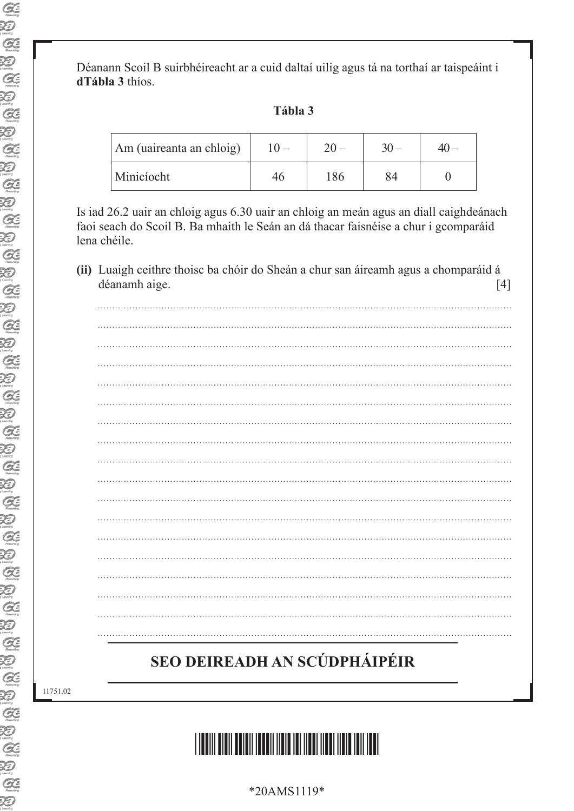Déanann Scoil B suirbhéireacht ar a cuid daltaí uilig agus tá na torthaí ar taispeáint i **dTábla 3** thíos.

### **Tábla 3**

| Am (uaireanta an chloig) |    |  |
|--------------------------|----|--|
| Minicíocht               | 86 |  |

Is iad 26.2 uair an chloig agus 6.30 uair an chloig an meán agus an diall caighdeánach faoi seach do Scoil B. Ba mhaith le Seán an dá thacar faisnéise a chur i gcomparáid lena chéile.

 **(ii)** Luaigh ceithre thoisc ba chóir do Sheán a chur san áireamh agus a chomparáid á déanamh aige. [4]

## **SEO DEIREADH AN SCÚDPHÁIPÉIR**

11751.02



\*20AMS1119\*